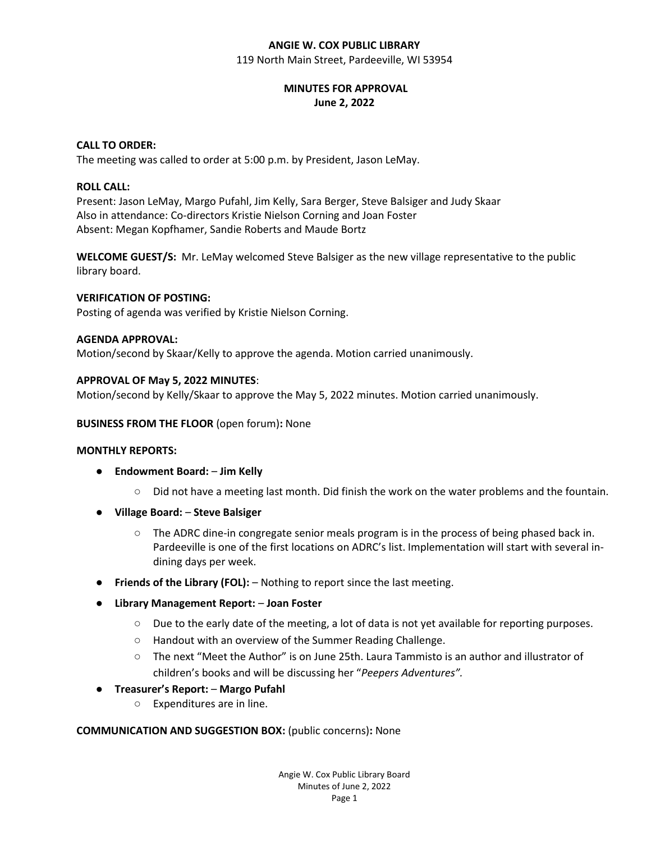### **ANGIE W. COX PUBLIC LIBRARY** 119 North Main Street, Pardeeville, WI 53954

# **MINUTES FOR APPROVAL June 2, 2022**

# **CALL TO ORDER:**

The meeting was called to order at 5:00 p.m. by President, Jason LeMay.

# **ROLL CALL:**

Present: Jason LeMay, Margo Pufahl, Jim Kelly, Sara Berger, Steve Balsiger and Judy Skaar Also in attendance: Co-directors Kristie Nielson Corning and Joan Foster Absent: Megan Kopfhamer, Sandie Roberts and Maude Bortz

**WELCOME GUEST/S:** Mr. LeMay welcomed Steve Balsiger as the new village representative to the public library board.

# **VERIFICATION OF POSTING:**

Posting of agenda was verified by Kristie Nielson Corning.

# **AGENDA APPROVAL:**

Motion/second by Skaar/Kelly to approve the agenda. Motion carried unanimously.

# **APPROVAL OF May 5, 2022 MINUTES**:

Motion/second by Kelly/Skaar to approve the May 5, 2022 minutes. Motion carried unanimously.

#### **BUSINESS FROM THE FLOOR** (open forum)**:** None

#### **MONTHLY REPORTS:**

- **Endowment Board: Jim Kelly**
	- Did not have a meeting last month. Did finish the work on the water problems and the fountain.
- **Village Board: Steve Balsiger**
	- $\circ$  The ADRC dine-in congregate senior meals program is in the process of being phased back in. Pardeeville is one of the first locations on ADRC's list. Implementation will start with several indining days per week.
- **Friends of the Library (FOL):** Nothing to report since the last meeting.
- **Library Management Report: Joan Foster**
	- Due to the early date of the meeting, a lot of data is not yet available for reporting purposes.
	- Handout with an overview of the Summer Reading Challenge.
	- The next "Meet the Author" is on June 25th. Laura Tammisto is an author and illustrator of children's books and will be discussing her "*Peepers Adventures".*

#### ● **Treasurer's Report:** – **Margo Pufahl**

○ Expenditures are in line.

#### **COMMUNICATION AND SUGGESTION BOX:** (public concerns)**:** None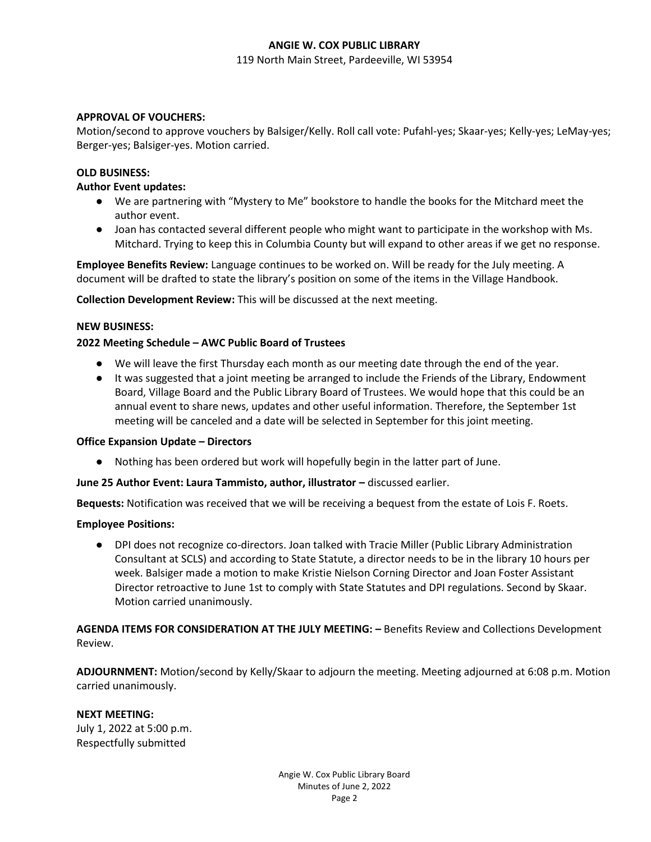### **ANGIE W. COX PUBLIC LIBRARY**

119 North Main Street, Pardeeville, WI 53954

### **APPROVAL OF VOUCHERS:**

Motion/second to approve vouchers by Balsiger/Kelly. Roll call vote: Pufahl-yes; Skaar-yes; Kelly-yes; LeMay-yes; Berger-yes; Balsiger-yes. Motion carried.

#### **OLD BUSINESS:**

#### **Author Event updates:**

- We are partnering with "Mystery to Me" bookstore to handle the books for the Mitchard meet the author event.
- Joan has contacted several different people who might want to participate in the workshop with Ms. Mitchard. Trying to keep this in Columbia County but will expand to other areas if we get no response.

**Employee Benefits Review:** Language continues to be worked on. Will be ready for the July meeting. A document will be drafted to state the library's position on some of the items in the Village Handbook.

**Collection Development Review:** This will be discussed at the next meeting.

#### **NEW BUSINESS:**

#### **2022 Meeting Schedule – AWC Public Board of Trustees**

- We will leave the first Thursday each month as our meeting date through the end of the year.
- It was suggested that a joint meeting be arranged to include the Friends of the Library, Endowment Board, Village Board and the Public Library Board of Trustees. We would hope that this could be an annual event to share news, updates and other useful information. Therefore, the September 1st meeting will be canceled and a date will be selected in September for this joint meeting.

#### **Office Expansion Update – Directors**

● Nothing has been ordered but work will hopefully begin in the latter part of June.

#### **June 25 Author Event: Laura Tammisto, author, illustrator – discussed earlier.**

**Bequests:** Notification was received that we will be receiving a bequest from the estate of Lois F. Roets.

#### **Employee Positions:**

● DPI does not recognize co-directors. Joan talked with Tracie Miller (Public Library Administration Consultant at SCLS) and according to State Statute, a director needs to be in the library 10 hours per week. Balsiger made a motion to make Kristie Nielson Corning Director and Joan Foster Assistant Director retroactive to June 1st to comply with State Statutes and DPI regulations. Second by Skaar. Motion carried unanimously.

**AGENDA ITEMS FOR CONSIDERATION AT THE JULY MEETING: –** Benefits Review and Collections Development Review.

**ADJOURNMENT:** Motion/second by Kelly/Skaar to adjourn the meeting. Meeting adjourned at 6:08 p.m. Motion carried unanimously.

#### **NEXT MEETING:**

July 1, 2022 at 5:00 p.m. Respectfully submitted